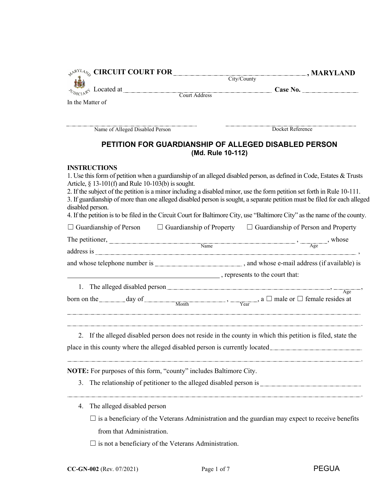| $\mathcal{P}^{\texttt{R}^{YL} \mathcal{A}}$ $\mathcal{C}$ and $\mathcal{C}$ and $\mathcal{C}$ and $\mathcal{C}$ and $\mathcal{C}$ and $\mathcal{C}$ and $\mathcal{C}$ and $\mathcal{C}$ and $\mathcal{C}$ and $\mathcal{C}$ and $\mathcal{C}$ and $\mathcal{C}$ and $\mathcal{C}$ and $\mathcal{C}$ and $\mathcal{C}$ and | , MARYLAND                                                                                                                                                                                                                                                                                                                                                                                                                                                                                                  |
|---------------------------------------------------------------------------------------------------------------------------------------------------------------------------------------------------------------------------------------------------------------------------------------------------------------------------|-------------------------------------------------------------------------------------------------------------------------------------------------------------------------------------------------------------------------------------------------------------------------------------------------------------------------------------------------------------------------------------------------------------------------------------------------------------------------------------------------------------|
|                                                                                                                                                                                                                                                                                                                           | City/County                                                                                                                                                                                                                                                                                                                                                                                                                                                                                                 |
|                                                                                                                                                                                                                                                                                                                           | $\qquad \qquad \text{Case No.}$                                                                                                                                                                                                                                                                                                                                                                                                                                                                             |
| In the Matter of                                                                                                                                                                                                                                                                                                          |                                                                                                                                                                                                                                                                                                                                                                                                                                                                                                             |
|                                                                                                                                                                                                                                                                                                                           |                                                                                                                                                                                                                                                                                                                                                                                                                                                                                                             |
| Name of Alleged Disabled Person                                                                                                                                                                                                                                                                                           | Docket Reference                                                                                                                                                                                                                                                                                                                                                                                                                                                                                            |
|                                                                                                                                                                                                                                                                                                                           | PETITION FOR GUARDIANSHIP OF ALLEGED DISABLED PERSON<br>(Md. Rule 10-112)                                                                                                                                                                                                                                                                                                                                                                                                                                   |
| <b>INSTRUCTIONS</b><br>Article, $\S$ 13-101(f) and Rule 10-103(b) is sought.<br>disabled person.                                                                                                                                                                                                                          | 1. Use this form of petition when a guardianship of an alleged disabled person, as defined in Code, Estates & Trusts<br>2. If the subject of the petition is a minor including a disabled minor, use the form petition set forth in Rule 10-111.<br>3. If guardianship of more than one alleged disabled person is sought, a separate petition must be filed for each alleged<br>4. If the petition is to be filed in the Circuit Court for Baltimore City, use "Baltimore City" as the name of the county. |
|                                                                                                                                                                                                                                                                                                                           | $\Box$ Guardianship of Person $\Box$ Guardianship of Property $\Box$ Guardianship of Person and Property                                                                                                                                                                                                                                                                                                                                                                                                    |
|                                                                                                                                                                                                                                                                                                                           | The petitioner, $\frac{N_{\text{Ame}}}{N_{\text{Bme}}}$ , whose                                                                                                                                                                                                                                                                                                                                                                                                                                             |
|                                                                                                                                                                                                                                                                                                                           |                                                                                                                                                                                                                                                                                                                                                                                                                                                                                                             |
|                                                                                                                                                                                                                                                                                                                           |                                                                                                                                                                                                                                                                                                                                                                                                                                                                                                             |
| represents to the court that:                                                                                                                                                                                                                                                                                             |                                                                                                                                                                                                                                                                                                                                                                                                                                                                                                             |
|                                                                                                                                                                                                                                                                                                                           | 1. The alleged disabled person<br>$\overline{\phantom{a}}$ , $\overline{\phantom{a}}$ Age                                                                                                                                                                                                                                                                                                                                                                                                                   |
|                                                                                                                                                                                                                                                                                                                           | born on the day of $\frac{1}{\text{Month}}$ , $\frac{1}{\text{Year}}$ , a $\Box$ male or $\Box$ female resides at                                                                                                                                                                                                                                                                                                                                                                                           |
| place in this county where the alleged disabled person is currently located_                                                                                                                                                                                                                                              | 2. If the alleged disabled person does not reside in the county in which this petition is filed, state the                                                                                                                                                                                                                                                                                                                                                                                                  |
| NOTE: For purposes of this form, "county" includes Baltimore City.                                                                                                                                                                                                                                                        |                                                                                                                                                                                                                                                                                                                                                                                                                                                                                                             |
| 3.                                                                                                                                                                                                                                                                                                                        |                                                                                                                                                                                                                                                                                                                                                                                                                                                                                                             |
| The alleged disabled person<br>4.                                                                                                                                                                                                                                                                                         |                                                                                                                                                                                                                                                                                                                                                                                                                                                                                                             |
|                                                                                                                                                                                                                                                                                                                           | $\Box$ is a beneficiary of the Veterans Administration and the guardian may expect to receive benefits                                                                                                                                                                                                                                                                                                                                                                                                      |
| from that Administration.                                                                                                                                                                                                                                                                                                 |                                                                                                                                                                                                                                                                                                                                                                                                                                                                                                             |
| $\square$ is not a beneficiary of the Veterans Administration.                                                                                                                                                                                                                                                            |                                                                                                                                                                                                                                                                                                                                                                                                                                                                                                             |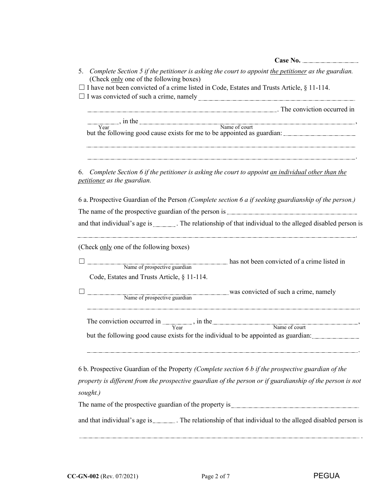| 5. Complete Section 5 if the petitioner is asking the court to appoint the petitioner as the guardian.<br>(Check only one of the following boxes)                                                               |
|-----------------------------------------------------------------------------------------------------------------------------------------------------------------------------------------------------------------|
| $\Box$ I have not been convicted of a crime listed in Code, Estates and Trusts Article, § 11-114.                                                                                                               |
|                                                                                                                                                                                                                 |
| The conviction occurred in                                                                                                                                                                                      |
|                                                                                                                                                                                                                 |
| year, in the Name of court<br>but the following good cause exists for me to be appointed as guardian:                                                                                                           |
|                                                                                                                                                                                                                 |
| 6. Complete Section 6 if the petitioner is asking the court to appoint an individual other than the<br>petitioner as the guardian.                                                                              |
| 6 a. Prospective Guardian of the Person (Complete section 6 a if seeking guardianship of the person.)                                                                                                           |
|                                                                                                                                                                                                                 |
| and that individual's age is ________. The relationship of that individual to the alleged disabled person is                                                                                                    |
| (Check only one of the following boxes)                                                                                                                                                                         |
| has not been convicted of a crime listed in<br>Name of prospective guardian                                                                                                                                     |
| Code, Estates and Trusts Article, § 11-114.                                                                                                                                                                     |
|                                                                                                                                                                                                                 |
| Name of prospective guardian was convicted of such a crime, namely                                                                                                                                              |
| The conviction occurred in $\frac{1}{\text{Year}}$ , in the Name of court                                                                                                                                       |
|                                                                                                                                                                                                                 |
| but the following good cause exists for the individual to be appointed as guardian:                                                                                                                             |
| 6 b. Prospective Guardian of the Property (Complete section 6 b if the prospective guardian of the<br>property is different from the prospective guardian of the person or if guardianship of the person is not |
| sought.)                                                                                                                                                                                                        |
| The name of the prospective guardian of the property is entertainment of the number of the property is                                                                                                          |
| and that individual's age is ________. The relationship of that individual to the alleged disabled person is                                                                                                    |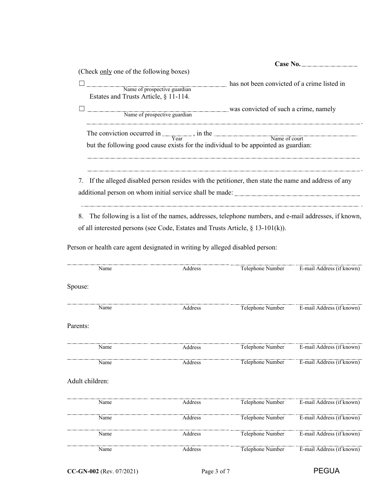|                                                                                                                                                                  | Case No.                                                                                              |
|------------------------------------------------------------------------------------------------------------------------------------------------------------------|-------------------------------------------------------------------------------------------------------|
| (Check only one of the following boxes)                                                                                                                          |                                                                                                       |
| Name of prospective guardian<br>Estates and Trusts Article, § 11-114.                                                                                            | has not been convicted of a crime listed in                                                           |
| Name of prospective guardian was convicted of such a crime, namely                                                                                               |                                                                                                       |
| The conviction occurred in $\frac{1}{\text{Year}}$ , in the Name of court<br>but the following good cause exists for the individual to be appointed as guardian: |                                                                                                       |
|                                                                                                                                                                  | 7. If the alleged disabled person resides with the petitioner, then state the name and address of any |

8. The following is a list of the names, addresses, telephone numbers, and e-mail addresses, if known, of all interested persons (see Code, Estates and Trusts Article, § 13-101(k)).

| Name            | Address | Telephone Number | E-mail Address (if known) |
|-----------------|---------|------------------|---------------------------|
| Spouse:         |         |                  |                           |
| Name            | Address | Telephone Number | E-mail Address (if known) |
| Parents:        |         |                  |                           |
| Name            | Address | Telephone Number | E-mail Address (if known) |
| Name            | Address | Telephone Number | E-mail Address (if known) |
| Adult children: |         |                  |                           |
| Name            | Address | Telephone Number | E-mail Address (if known) |
| Name            | Address | Telephone Number | E-mail Address (if known) |
| Name            | Address | Telephone Number | E-mail Address (if known) |
| Name            | Address | Telephone Number | E-mail Address (if known) |
|                 |         |                  |                           |

Person or health care agent designated in writing by alleged disabled person: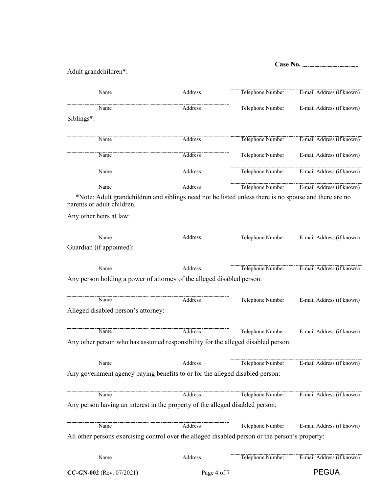## Adult grandchildren\*:

| Name                                                                                                                                | Address     | Telephone Number | E-mail Address (if known) |
|-------------------------------------------------------------------------------------------------------------------------------------|-------------|------------------|---------------------------|
| Name                                                                                                                                | Address     | Telephone Number | E-mail Address (if known) |
| Siblings*:                                                                                                                          |             |                  |                           |
| Name                                                                                                                                | Address     | Telephone Number | E-mail Address (if known) |
| Name                                                                                                                                | Address     | Telephone Number | E-mail Address (if known) |
| Name                                                                                                                                | Address     | Telephone Number | E-mail Address (if known) |
| Name                                                                                                                                | Address     | Telephone Number | E-mail Address (if known) |
| *Note: Adult grandchildren and siblings need not be listed unless there is no spouse and there are no<br>parents or adult children. |             |                  |                           |
| Any other heirs at law:                                                                                                             |             |                  |                           |
| Name                                                                                                                                | Address     | Telephone Number | E-mail Address (if known) |
| Guardian (if appointed):                                                                                                            |             |                  |                           |
| Name                                                                                                                                | Address     | Telephone Number | E-mail Address (if known) |
| Any person holding a power of attorney of the alleged disabled person:                                                              |             |                  |                           |
| Name                                                                                                                                | Address     | Telephone Number | E-mail Address (if known) |
| Alleged disabled person's attorney:                                                                                                 |             |                  |                           |
| Name                                                                                                                                | Address     | Telephone Number | E-mail Address (if known) |
| Any other person who has assumed responsibility for the alleged disabled person:                                                    |             |                  |                           |
| Name                                                                                                                                | Address     | Telephone Number | E-mail Address (if known) |
| Any government agency paying benefits to or for the alleged disabled person:                                                        |             |                  |                           |
| Name                                                                                                                                | Address     | Telephone Number | E-mail Address (if known) |
| Any person having an interest in the property of the alleged disabled person:                                                       |             |                  |                           |
| Name                                                                                                                                | Address     | Telephone Number | E-mail Address (if known) |
| All other persons exercising control over the alleged disabled person or the person's property:                                     |             |                  |                           |
| Name                                                                                                                                | Address     | Telephone Number | E-mail Address (if known) |
| CC-GN-002 (Rev. 07/2021)                                                                                                            | Page 4 of 7 |                  | <b>PEGUA</b>              |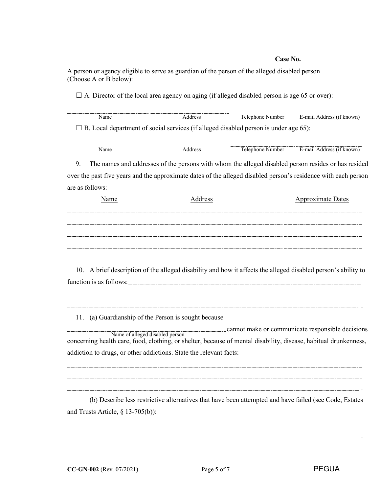A person or agency eligible to serve as guardian of the person of the alleged disabled person (Choose A or B below):

 $\Box$  A. Director of the local area agency on aging (if alleged disabled person is age 65 or over):

 $\square$  B. Local department of social services (if alleged disabled person is under age 65): Name Address Address Telephone Number E-mail Address (if known)

| маше | ה סנויי<br>11 J I I 1<br> | ma<br>на<br>the contract of the contract of the contract of the contract of the contract of the contract of |
|------|---------------------------|-------------------------------------------------------------------------------------------------------------|

9. The names and addresses of the persons with whom the alleged disabled person resides or has resided over the past five years and the approximate dates of the alleged disabled person's residence with each person are as follows:

| Name | Address | <b>Approximate Dates</b>                                                                                      |
|------|---------|---------------------------------------------------------------------------------------------------------------|
|      |         |                                                                                                               |
|      |         |                                                                                                               |
|      |         |                                                                                                               |
|      |         |                                                                                                               |
|      |         |                                                                                                               |
|      |         | rende a la construira de la construira de la construira de la construira de la construira de la construira de |

10. A brief description of the alleged disability and how it affects the alleged disabled person's ability to function is as follows:

11. (a) Guardianship of the Person is sought because

cannot make or communicate responsible decisions concerning health care, food, clothing, or shelter, because of mental disability, disease, habitual drunkenness, addiction to drugs, or other addictions. State the relevant facts: Name of alleged disabled person

(b) Describe less restrictive alternatives that have been attempted and have failed (see Code, Estates and Trusts Article,  $\S$  13-705(b)):

.

.

.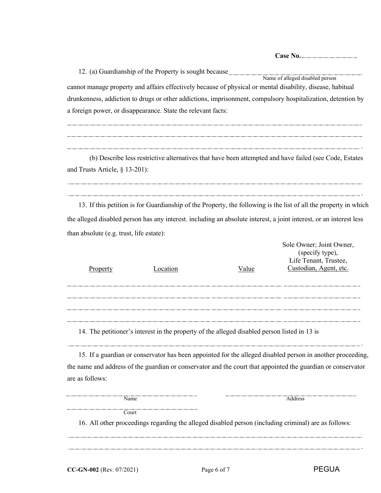.

.

.

.

12. (a) Guardianship of the Property is sought because cannot manage property and affairs effectively because of physical or mental disability, disease, habitual drunkenness, addiction to drugs or other addictions, imprisonment, compulsory hospitalization, detention by a foreign power, or disappearance. State the relevant facts: Name of alleged disabled person

(b) Describe less restrictive alternatives that have been attempted and have failed (see Code, Estates and Trusts Article, § 13-201):

13. If this petition is for Guardianship of the Property, the following is the list of all the property in which the alleged disabled person has any interest, including an absolute interest, a joint interest, or an interest less than absolute (e.g. trust, life estate):

|          |          |       | Sole Owner; Joint Owner,<br>(specify type),<br>Life Tenant, Trustee, |
|----------|----------|-------|----------------------------------------------------------------------|
| Property | Location | Value | Custodian, Agent, etc.                                               |
|          |          |       |                                                                      |
|          |          |       |                                                                      |
|          |          |       |                                                                      |
|          |          |       |                                                                      |
|          |          |       |                                                                      |

14. The petitioner's interest in the property of the alleged disabled person listed in 13 is

15. If a guardian or conservator has been appointed for the alleged disabled person in another proceeding, the name and address of the guardian or conservator and the court that appointed the guardian or conservator are as follows:

**Court** 

Name Address

16. All other proceedings regarding the alleged disabled person (including criminal) are as follows: